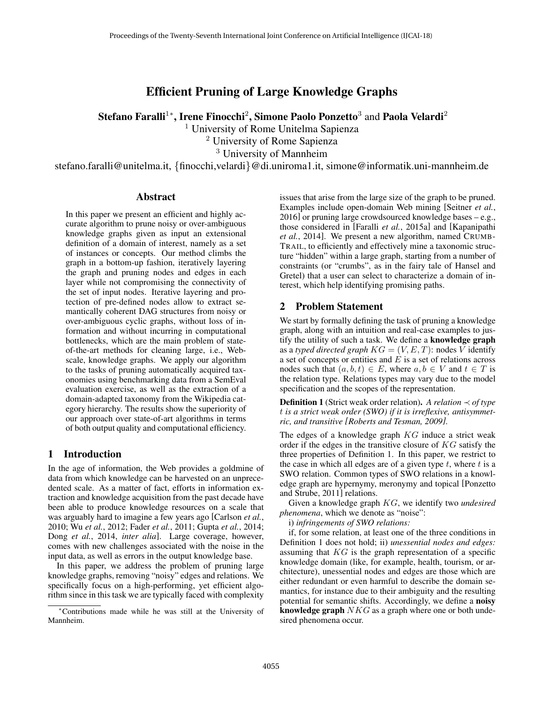# Efficient Pruning of Large Knowledge Graphs

Stefano Faralli $^{1*}$ , Irene Finocchi $^{2}$ , Simone Paolo Ponzetto $^{3}$  and Paola Velardi $^{2}$ 

<sup>1</sup> University of Rome Unitelma Sapienza

<sup>2</sup> University of Rome Sapienza

<sup>3</sup> University of Mannheim

stefano.faralli@unitelma.it, {finocchi,velardi}@di.uniroma1.it, simone@informatik.uni-mannheim.de

#### **Abstract**

In this paper we present an efficient and highly accurate algorithm to prune noisy or over-ambiguous knowledge graphs given as input an extensional definition of a domain of interest, namely as a set of instances or concepts. Our method climbs the graph in a bottom-up fashion, iteratively layering the graph and pruning nodes and edges in each layer while not compromising the connectivity of the set of input nodes. Iterative layering and protection of pre-defined nodes allow to extract semantically coherent DAG structures from noisy or over-ambiguous cyclic graphs, without loss of information and without incurring in computational bottlenecks, which are the main problem of stateof-the-art methods for cleaning large, i.e., Webscale, knowledge graphs. We apply our algorithm to the tasks of pruning automatically acquired taxonomies using benchmarking data from a SemEval evaluation exercise, as well as the extraction of a domain-adapted taxonomy from the Wikipedia category hierarchy. The results show the superiority of our approach over state-of-art algorithms in terms of both output quality and computational efficiency.

#### 1 Introduction

In the age of information, the Web provides a goldmine of data from which knowledge can be harvested on an unprecedented scale. As a matter of fact, efforts in information extraction and knowledge acquisition from the past decade have been able to produce knowledge resources on a scale that was arguably hard to imagine a few years ago [Carlson *et al.*, 2010; Wu *et al.*, 2012; Fader *et al.*, 2011; Gupta *et al.*, 2014; Dong *et al.*, 2014, *inter alia*]. Large coverage, however, comes with new challenges associated with the noise in the input data, as well as errors in the output knowledge base.

In this paper, we address the problem of pruning large knowledge graphs, removing "noisy" edges and relations. We specifically focus on a high-performing, yet efficient algorithm since in this task we are typically faced with complexity issues that arise from the large size of the graph to be pruned. Examples include open-domain Web mining [Seitner *et al.*, 2016] or pruning large crowdsourced knowledge bases – e.g., those considered in [Faralli *et al.*, 2015a] and [Kapanipathi *et al.*, 2014]. We present a new algorithm, named CRUMB-TRAIL, to efficiently and effectively mine a taxonomic structure "hidden" within a large graph, starting from a number of constraints (or "crumbs", as in the fairy tale of Hansel and Gretel) that a user can select to characterize a domain of interest, which help identifying promising paths.

#### 2 Problem Statement

We start by formally defining the task of pruning a knowledge graph, along with an intuition and real-case examples to justify the utility of such a task. We define a knowledge graph as a *typed directed graph*  $KG = (V, E, T)$ : nodes V identify a set of concepts or entities and  $E$  is a set of relations across nodes such that  $(a, b, t) \in E$ , where  $a, b \in V$  and  $t \in T$  is the relation type. Relations types may vary due to the model specification and the scopes of the representation.

Definition 1 (Strict weak order relation). *A relation* ≺ *of type* t *is a strict weak order (SWO) if it is irreflexive, antisymmetric, and transitive [Roberts and Tesman, 2009].*

The edges of a knowledge graph KG induce a strict weak order if the edges in the transitive closure of KG satisfy the three properties of Definition 1. In this paper, we restrict to the case in which all edges are of a given type  $t$ , where  $t$  is a SWO relation. Common types of SWO relations in a knowledge graph are hypernymy, meronymy and topical [Ponzetto and Strube, 2011] relations.

Given a knowledge graph KG, we identify two *undesired phenomena*, which we denote as "noise":

i) *infringements of SWO relations:*

if, for some relation, at least one of the three conditions in Definition 1 does not hold; ii) *unessential nodes and edges:* assuming that  $KG$  is the graph representation of a specific knowledge domain (like, for example, health, tourism, or architecture), unessential nodes and edges are those which are either redundant or even harmful to describe the domain semantics, for instance due to their ambiguity and the resulting potential for semantic shifts. Accordingly, we define a noisy knowledge graph  $NKG$  as a graph where one or both undesired phenomena occur.

<sup>∗</sup>Contributions made while he was still at the University of Mannheim.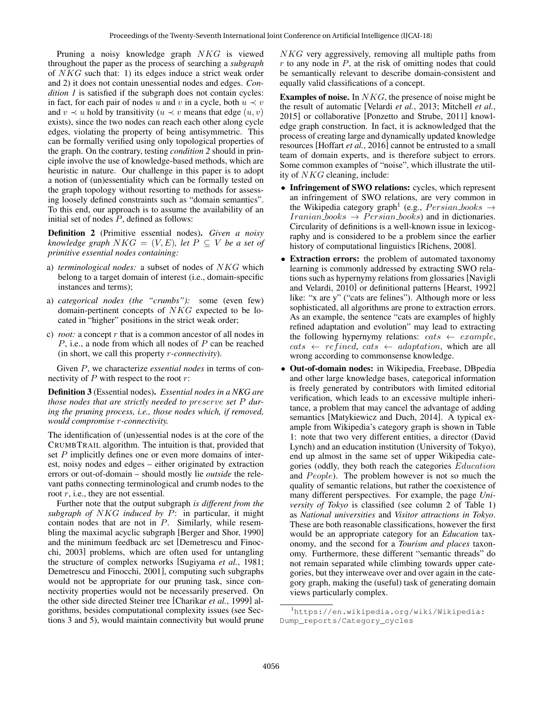Pruning a noisy knowledge graph NKG is viewed throughout the paper as the process of searching a *subgraph* of NKG such that: 1) its edges induce a strict weak order and 2) it does not contain unessential nodes and edges. *Condition 1* is satisfied if the subgraph does not contain cycles: in fact, for each pair of nodes u and v in a cycle, both  $u \prec v$ and  $v \prec u$  hold by transitivity ( $u \prec v$  means that edge  $(u, v)$ exists), since the two nodes can reach each other along cycle edges, violating the property of being antisymmetric. This can be formally verified using only topological properties of the graph. On the contrary, testing *condition 2* should in principle involve the use of knowledge-based methods, which are heuristic in nature. Our challenge in this paper is to adopt a notion of (un)essentiality which can be formally tested on the graph topology without resorting to methods for assessing loosely defined constraints such as "domain semantics". To this end, our approach is to assume the availability of an initial set of nodes  $\overline{P}$ , defined as follows:

Definition 2 (Primitive essential nodes). *Given a noisy knowledge graph*  $NKG = (V, E)$ *, let*  $P \subseteq V$  *be a set of primitive essential nodes containing:*

- a) *terminological nodes:* a subset of nodes of NKG which belong to a target domain of interest (i.e., domain-specific instances and terms);
- a) *categorical nodes (the "crumbs"):* some (even few) domain-pertinent concepts of NKG expected to be located in "higher" positions in the strict weak order;
- c) *root:* a concept r that is a common ancestor of all nodes in P, i.e., a node from which all nodes of P can be reached (in short, we call this property r*-connectivity*).

Given P, we characterize *essential nodes* in terms of connectivity of  $P$  with respect to the root  $r$ :

Definition 3 (Essential nodes). *Essential nodes in a NKG are those nodes that are strictly needed to* preserve *set* P *during the pruning process, i.e., those nodes which, if removed, would compromise* r*-connectivity.*

The identification of (un)essential nodes is at the core of the CRUMBTRAIL algorithm. The intuition is that, provided that set P implicitly defines one or even more domains of interest, noisy nodes and edges – either originated by extraction errors or out-of-domain – should mostly lie *outside* the relevant paths connecting terminological and crumb nodes to the root  $r$ , i.e., they are not essential.

Further note that the output subgraph *is different from the subgraph of* NKG *induced by* P: in particular, it might contain nodes that are not in  $P$ . Similarly, while resembling the maximal acyclic subgraph [Berger and Shor, 1990] and the minimum feedback arc set [Demetrescu and Finocchi, 2003] problems, which are often used for untangling the structure of complex networks [Sugiyama *et al.*, 1981; Demetrescu and Finocchi, 2001], computing such subgraphs would not be appropriate for our pruning task, since connectivity properties would not be necessarily preserved. On the other side directed Steiner tree [Charikar *et al.*, 1999] algorithms, besides computational complexity issues (see Sections 3 and 5), would maintain connectivity but would prune

NKG very aggressively, removing all multiple paths from  $r$  to any node in  $P$ , at the risk of omitting nodes that could be semantically relevant to describe domain-consistent and equally valid classifications of a concept.

**Examples of noise.** In  $NKG$ , the presence of noise might be the result of automatic [Velardi *et al.*, 2013; Mitchell *et al.*, 2015] or collaborative [Ponzetto and Strube, 2011] knowledge graph construction. In fact, it is acknowledged that the process of creating large and dynamically updated knowledge resources [Hoffart *et al.*, 2016] cannot be entrusted to a small team of domain experts, and is therefore subject to errors. Some common examples of "noise", which illustrate the utility of NKG cleaning, include:

- Infringement of SWO relations: cycles, which represent an infringement of SWO relations, are very common in the Wikipedia category graph<sup>1</sup> (e.g.,  $Persion \rightarrow \rightarrow$  $Iranian\_books \rightarrow Persian\_books$  and in dictionaries. Circularity of definitions is a well-known issue in lexicography and is considered to be a problem since the earlier history of computational linguistics [Richens, 2008].
- Extraction errors: the problem of automated taxonomy learning is commonly addressed by extracting SWO relations such as hypernymy relations from glossaries [Navigli and Velardi, 2010] or definitional patterns [Hearst, 1992] like: "x are y" ("cats are felines"). Although more or less sophisticated, all algorithms are prone to extraction errors. As an example, the sentence "cats are examples of highly refined adaptation and evolution" may lead to extracting the following hypernymy relations:  $cats \leftarrow example$ ,  $\textit{cats} \leftarrow \textit{refined}, \textit{cats} \leftarrow \textit{adaptation}, \textit{which are all}$ wrong according to commonsense knowledge.
- Out-of-domain nodes: in Wikipedia, Freebase, DBpedia and other large knowledge bases, categorical information is freely generated by contributors with limited editorial verification, which leads to an excessive multiple inheritance, a problem that may cancel the advantage of adding semantics [Matykiewicz and Duch, 2014]. A typical example from Wikipedia's category graph is shown in Table 1: note that two very different entities, a director (David Lynch) and an education institution (University of Tokyo), end up almost in the same set of upper Wikipedia categories (oddly, they both reach the categories Education and  $People$ ). The problem however is not so much the quality of semantic relations, but rather the coexistence of many different perspectives. For example, the page *University of Tokyo* is classified (see column 2 of Table 1) as *National universities* and *Visitor attractions in Tokyo*. These are both reasonable classifications, however the first would be an appropriate category for an *Education* taxonomy, and the second for a *Tourism and places* taxonomy. Furthermore, these different "semantic threads" do not remain separated while climbing towards upper categories, but they interweave over and over again in the category graph, making the (useful) task of generating domain views particularly complex.

<sup>1</sup>https://en.wikipedia.org/wiki/Wikipedia: Dump\_reports/Category\_cycles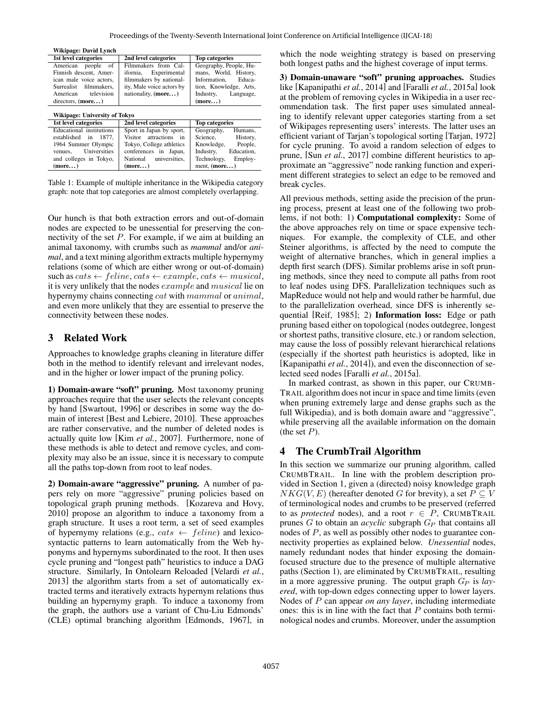| Wikipage: David Lynch         |                           |                         |  |  |  |  |  |  |
|-------------------------------|---------------------------|-------------------------|--|--|--|--|--|--|
| 1st level categories          | 2nd level categories      | <b>Top categories</b>   |  |  |  |  |  |  |
| American people of            | Filmmakers from Cal-      | Geography, People, Hu-  |  |  |  |  |  |  |
| Finnish descent, Amer-        | ifornia, Experimental     | mans, World, History,   |  |  |  |  |  |  |
| ican male voice actors.       | filmmakers by national-   | Educa-<br>Information.  |  |  |  |  |  |  |
| Surrealist filmmakers.        | ity, Male voice actors by | tion, Knowledge, Arts,  |  |  |  |  |  |  |
| American television           | nationality, (more)       | Industry, Language,     |  |  |  |  |  |  |
| directors, $(more)$           |                           | (more)                  |  |  |  |  |  |  |
|                               |                           |                         |  |  |  |  |  |  |
| Wikipage: University of Tokyo |                           |                         |  |  |  |  |  |  |
| 1st level categories          | 2nd level categories      | <b>Top categories</b>   |  |  |  |  |  |  |
| Educational institutions      | Sport in Japan by sport,  | Geography,<br>Humans,   |  |  |  |  |  |  |
| established in<br>1877.       | Visitor attractions in    | Science.<br>History,    |  |  |  |  |  |  |
| 1964 Summer Olympic           | Tokyo, College athletics  | Knowledge, People,      |  |  |  |  |  |  |
| Universities<br>venues.       | conferences in Japan,     | Education.<br>Industry, |  |  |  |  |  |  |
| and colleges in Tokyo,        | National universities.    | Technology,<br>Employ-  |  |  |  |  |  |  |
| (more)                        | (more)                    | ment, $(more)$          |  |  |  |  |  |  |

Table 1: Example of multiple inheritance in the Wikipedia category graph: note that top categories are almost completely overlapping.

Our hunch is that both extraction errors and out-of-domain nodes are expected to be unessential for preserving the connectivity of the set P. For example, if we aim at building an animal taxonomy, with crumbs such as *mammal* and/or *animal*, and a text mining algorithm extracts multiple hypernymy relations (some of which are either wrong or out-of-domain) such as  $cats \leftarrow$  feline,  $cats \leftarrow example, cats \leftarrow musical$ , it is very unlikely that the nodes example and musical lie on hypernymy chains connecting cat with mammal or animal, and even more unlikely that they are essential to preserve the connectivity between these nodes.

#### 3 Related Work

Approaches to knowledge graphs cleaning in literature differ both in the method to identify relevant and irrelevant nodes, and in the higher or lower impact of the pruning policy.

1) Domain-aware "soft" pruning. Most taxonomy pruning approaches require that the user selects the relevant concepts by hand [Swartout, 1996] or describes in some way the domain of interest [Best and Lebiere, 2010]. These approaches are rather conservative, and the number of deleted nodes is actually quite low [Kim *et al.*, 2007]. Furthermore, none of these methods is able to detect and remove cycles, and complexity may also be an issue, since it is necessary to compute all the paths top-down from root to leaf nodes.

2) Domain-aware "aggressive" pruning. A number of papers rely on more "aggressive" pruning policies based on topological graph pruning methods. [Kozareva and Hovy, 2010] propose an algorithm to induce a taxonomy from a graph structure. It uses a root term, a set of seed examples of hypernymy relations (e.g.,  $cats \leftarrow$  feline) and lexicosyntactic patterns to learn automatically from the Web hyponyms and hypernyms subordinated to the root. It then uses cycle pruning and "longest path" heuristics to induce a DAG structure. Similarly, In Ontolearn Reloaded [Velardi *et al.*, 2013] the algorithm starts from a set of automatically extracted terms and iteratively extracts hypernym relations thus building an hypernymy graph. To induce a taxonomy from the graph, the authors use a variant of Chu-Liu Edmonds' (CLE) optimal branching algorithm [Edmonds, 1967], in which the node weighting strategy is based on preserving both longest paths and the highest coverage of input terms.

3) Domain-unaware "soft" pruning approaches. Studies like [Kapanipathi *et al.*, 2014] and [Faralli *et al.*, 2015a] look at the problem of removing cycles in Wikipedia in a user recommendation task. The first paper uses simulated annealing to identify relevant upper categories starting from a set of Wikipages representing users' interests. The latter uses an efficient variant of Tarjan's topological sorting [Tarjan, 1972] for cycle pruning. To avoid a random selection of edges to prune, [Sun *et al.*, 2017] combine different heuristics to approximate an "aggressive" node ranking function and experiment different strategies to select an edge to be removed and break cycles.

All previous methods, setting aside the precision of the pruning process, present at least one of the following two problems, if not both: 1) Computational complexity: Some of the above approaches rely on time or space expensive techniques. For example, the complexity of CLE, and other Steiner algorithms, is affected by the need to compute the weight of alternative branches, which in general implies a depth first search (DFS). Similar problems arise in soft pruning methods, since they need to compute all paths from root to leaf nodes using DFS. Parallelization techniques such as MapReduce would not help and would rather be harmful, due to the parallelization overhead, since DFS is inherently sequential [Reif, 1985]; 2) Information loss: Edge or path pruning based either on topological (nodes outdegree, longest or shortest paths, transitive closure, etc.) or random selection, may cause the loss of possibly relevant hierarchical relations (especially if the shortest path heuristics is adopted, like in [Kapanipathi *et al.*, 2014]), and even the disconnection of selected seed nodes [Faralli *et al.*, 2015a].

In marked contrast, as shown in this paper, our CRUMB-TRAIL algorithm does not incur in space and time limits (even when pruning extremely large and dense graphs such as the full Wikipedia), and is both domain aware and "aggressive", while preserving all the available information on the domain (the set  $P$ ).

#### 4 The CrumbTrail Algorithm

In this section we summarize our pruning algorithm, called CRUMBTRAIL. In line with the problem description provided in Section 1, given a (directed) noisy knowledge graph  $NKG(V, E)$  (hereafter denoted G for brevity), a set  $P \subseteq V$ of terminological nodes and crumbs to be preserved (referred to as *protected* nodes), and a root  $r \in P$ , CRUMBTRAIL prunes  $G$  to obtain an *acyclic* subgraph  $G_P$  that contains all nodes of P, as well as possibly other nodes to guarantee connectivity properties as explained below. *Unessential* nodes, namely redundant nodes that hinder exposing the domainfocused structure due to the presence of multiple alternative paths (Section 1), are eliminated by CRUMBTRAIL, resulting in a more aggressive pruning. The output graph  $G_P$  is *layered*, with top-down edges connecting upper to lower layers. Nodes of P can appear *on any layer*, including intermediate ones: this is in line with the fact that  $P$  contains both terminological nodes and crumbs. Moreover, under the assumption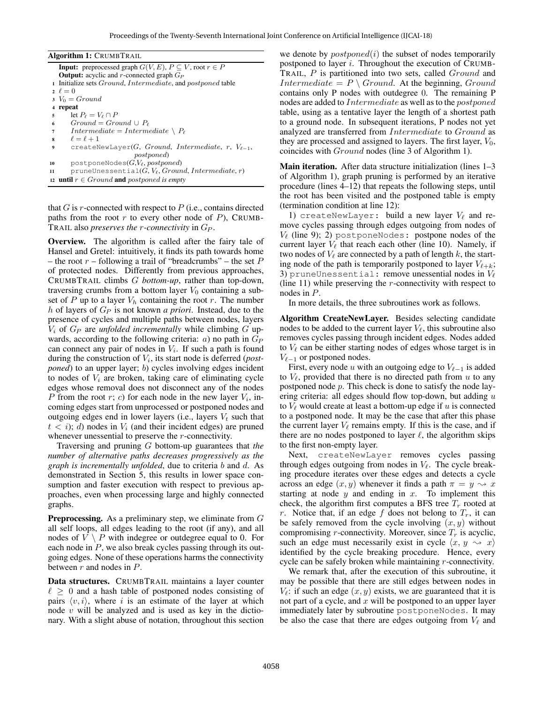|                | <b>Algorithm 1: CRUMBTRAIL</b>                                                |
|----------------|-------------------------------------------------------------------------------|
|                | <b>Input:</b> preprocessed graph $G(V, E)$ , $P \subseteq V$ , root $r \in P$ |
|                | <b>Output:</b> acyclic and r-connected graph $G_P$                            |
|                | 1 Initialize sets <i>Ground, Intermediate</i> , and <i>postponed</i> table    |
|                | $2 \ell = 0$                                                                  |
|                | $V_0 = Ground$                                                                |
| $\overline{4}$ | repeat                                                                        |
| 5              | let $P_{\ell} = V_{\ell} \cap P$                                              |
| 6              | $Ground = Ground \cup P_{\ell}$                                               |
| 7              | $Intermediate = Intermediate \ \setminus \ P_{\ell}$                          |
| 8              | $\ell = \ell + 1$                                                             |
| 9              | createNewLayer(G, Ground, Intermediate, r, $V_{\ell-1}$ ,                     |
|                | <i>postponed</i>                                                              |
| 10             | postponeNodes $(G, V_\ell, postponed)$                                        |
| 11             | pruneUnessential $(G, V_{\ell}, Ground, Intermediate, r)$                     |
|                | 12 <b>until</b> $r \in Ground$ and postponed is empty                         |

that  $G$  is r-connected with respect to  $P$  (i.e., contains directed paths from the root r to every other node of  $P$ ), CRUMB-TRAIL also *preserves the* r*-connectivity* in G<sup>P</sup> .

Overview. The algorithm is called after the fairy tale of Hansel and Gretel: intuitively, it finds its path towards home – the root  $r$  – following a trail of "breadcrumbs" – the set  $P$ of protected nodes. Differently from previous approaches, CRUMBTRAIL climbs G *bottom-up*, rather than top-down, traversing crumbs from a bottom layer  $V_0$  containing a subset of P up to a layer  $V_h$  containing the root r. The number h of layers of G<sup>P</sup> is not known *a priori*. Instead, due to the presence of cycles and multiple paths between nodes, layers  $V_i$  of  $G_P$  are *unfolded incrementally* while climbing  $G$  upwards, according to the following criteria:  $a$ ) no path in  $G_P$ can connect any pair of nodes in  $V_i$ . If such a path is found during the construction of  $V_i$ , its start node is deferred (*postponed*) to an upper layer; b) cycles involving edges incident to nodes of  $V_i$  are broken, taking care of eliminating cycle edges whose removal does not disconnect any of the nodes P from the root r; c) for each node in the new layer  $V_i$ , incoming edges start from unprocessed or postponed nodes and outgoing edges end in lower layers (i.e., layers  $V_t$  such that  $t < i$ ; d) nodes in  $V_i$  (and their incident edges) are pruned whenever unessential to preserve the *r*-connectivity.

Traversing and pruning G bottom-up guarantees that *the number of alternative paths decreases progressively as the graph is incrementally unfolded*, due to criteria b and d. As demonstrated in Section 5, this results in lower space consumption and faster execution with respect to previous approaches, even when processing large and highly connected graphs.

Preprocessing. As a preliminary step, we eliminate from G all self loops, all edges leading to the root (if any), and all nodes of  $V \setminus P$  with indegree or outdegree equal to 0. For each node in P, we also break cycles passing through its outgoing edges. None of these operations harms the connectivity between  $r$  and nodes in  $P$ .

Data structures. CRUMBTRAIL maintains a layer counter  $\ell \geq 0$  and a hash table of postponed nodes consisting of pairs  $\langle v, i \rangle$ , where i is an estimate of the layer at which node  $v$  will be analyzed and is used as key in the dictionary. With a slight abuse of notation, throughout this section

we denote by  $postponed(i)$  the subset of nodes temporarily postponed to layer i. Throughout the execution of CRUMB-TRAIL, P is partitioned into two sets, called Ground and Intermediate =  $P \setminus Ground$ . At the beginning, Ground contains only P nodes with outdegree 0. The remaining P nodes are added to Intermediate as well as to the postponed table, using as a tentative layer the length of a shortest path to a ground node. In subsequent iterations, P nodes not yet analyzed are transferred from Intermediate to Ground as they are processed and assigned to layers. The first layer,  $V_0$ , coincides with Ground nodes (line 3 of Algorithm 1).

Main iteration. After data structure initialization (lines 1–3 of Algorithm 1), graph pruning is performed by an iterative procedure (lines 4–12) that repeats the following steps, until the root has been visited and the postponed table is empty (termination condition at line 12):

1) createNewLayer: build a new layer  $V_\ell$  and remove cycles passing through edges outgoing from nodes of  $V_{\ell}$  (line 9); 2) postponeNodes: postpone nodes of the current layer  $V_\ell$  that reach each other (line 10). Namely, if two nodes of  $V_\ell$  are connected by a path of length k, the starting node of the path is temporarily postponed to layer  $V_{\ell+k}$ ; 3) pruneUnessential: remove unessential nodes in  $V_\ell$ (line 11) while preserving the  $r$ -connectivity with respect to nodes in P.

In more details, the three subroutines work as follows.

Algorithm CreateNewLayer. Besides selecting candidate nodes to be added to the current layer  $V_\ell$ , this subroutine also removes cycles passing through incident edges. Nodes added to  $V_\ell$  can be either starting nodes of edges whose target is in  $V_{\ell-1}$  or postponed nodes.

First, every node u with an outgoing edge to  $V_{\ell-1}$  is added to  $V_\ell$ , provided that there is no directed path from u to any postponed node p. This check is done to satisfy the node layering criteria: all edges should flow top-down, but adding  $u$ to  $V_\ell$  would create at least a bottom-up edge if u is connected to a postponed node. It may be the case that after this phase the current layer  $V_\ell$  remains empty. If this is the case, and if there are no nodes postponed to layer  $\ell$ , the algorithm skips to the first non-empty layer.

Next, createNewLayer removes cycles passing through edges outgoing from nodes in  $V_\ell$ . The cycle breaking procedure iterates over these edges and detects a cycle across an edge  $(x, y)$  whenever it finds a path  $\pi = y \rightsquigarrow x$ starting at node  $y$  and ending in  $x$ . To implement this check, the algorithm first computes a BFS tree  $T_r$  rooted at r. Notice that, if an edge f does not belong to  $T_r$ , it can be safely removed from the cycle involving  $(x, y)$  without compromising *r*-connectivity. Moreover, since  $T_r$  is acyclic, such an edge must necessarily exist in cycle  $\langle x, y \rangle \rightarrow x$ identified by the cycle breaking procedure. Hence, every cycle can be safely broken while maintaining r-connectivity.

We remark that, after the execution of this subroutine, it may be possible that there are still edges between nodes in  $V_{\ell}$ : if such an edge  $(x, y)$  exists, we are guaranteed that it is not part of a cycle, and  $x$  will be postponed to an upper layer immediately later by subroutine postponeNodes. It may be also the case that there are edges outgoing from  $V_\ell$  and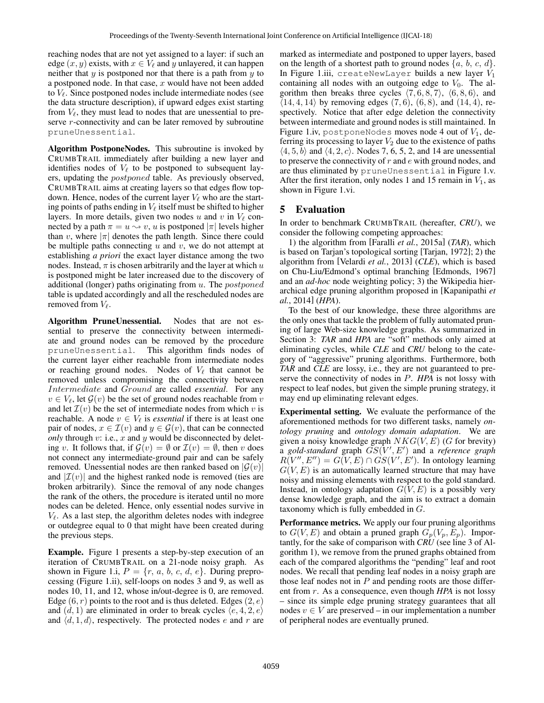reaching nodes that are not yet assigned to a layer: if such an edge  $(x, y)$  exists, with  $x \in V_\ell$  and y unlayered, it can happen neither that  $y$  is postponed nor that there is a path from  $y$  to a postponed node. In that case,  $x$  would have not been added to  $V_{\ell}$ . Since postponed nodes include intermediate nodes (see the data structure description), if upward edges exist starting from  $V_\ell$ , they must lead to nodes that are unessential to preserve *r*-connectivity and can be later removed by subroutine pruneUnessential.

Algorithm PostponeNodes. This subroutine is invoked by CRUMBTRAIL immediately after building a new layer and identifies nodes of  $V_\ell$  to be postponed to subsequent layers, updating the postponed table. As previously observed, CRUMBTRAIL aims at creating layers so that edges flow topdown. Hence, nodes of the current layer  $V_\ell$  who are the starting points of paths ending in  $V_\ell$  itself must be shifted to higher layers. In more details, given two nodes u and v in  $V_\ell$  connected by a path  $\pi = u \leadsto v$ , u is postponed  $|\pi|$  levels higher than v, where  $|\pi|$  denotes the path length. Since there could be multiple paths connecting  $u$  and  $v$ , we do not attempt at establishing *a priori* the exact layer distance among the two nodes. Instead,  $\pi$  is chosen arbitrarily and the layer at which  $u$ is postponed might be later increased due to the discovery of additional (longer) paths originating from  $u$ . The *postponed* table is updated accordingly and all the rescheduled nodes are removed from  $V_{\ell}$ .

Algorithm PruneUnessential. Nodes that are not essential to preserve the connectivity between intermediate and ground nodes can be removed by the procedure pruneUnessential. This algorithm finds nodes of the current layer either reachable from intermediate nodes or reaching ground nodes. Nodes of  $V_\ell$  that cannot be removed unless compromising the connectivity between Intermediate and Ground are called *essential*. For any  $v \in V_{\ell}$ , let  $\mathcal{G}(v)$  be the set of ground nodes reachable from v and let  $\mathcal{I}(v)$  be the set of intermediate nodes from which v is reachable. A node  $v \in V_\ell$  is *essential* if there is at least one pair of nodes,  $x \in \mathcal{I}(v)$  and  $y \in \mathcal{G}(v)$ , that can be connected *only* through  $v:$  i.e.,  $x$  and  $y$  would be disconnected by deleting v. It follows that, if  $\mathcal{G}(v) = \emptyset$  or  $\mathcal{I}(v) = \emptyset$ , then v does not connect any intermediate-ground pair and can be safely removed. Unessential nodes are then ranked based on  $|\mathcal{G}(v)|$ and  $|\mathcal{I}(v)|$  and the highest ranked node is removed (ties are broken arbitrarily). Since the removal of any node changes the rank of the others, the procedure is iterated until no more nodes can be deleted. Hence, only essential nodes survive in  $V_{\ell}$ . As a last step, the algorithm deletes nodes with indegree or outdegree equal to 0 that might have been created during the previous steps.

Example. Figure 1 presents a step-by-step execution of an iteration of CRUMBTRAIL on a 21-node noisy graph. As shown in Figure 1.i,  $P = \{r, a, b, c, d, e\}$ . During preprocessing (Figure 1.ii), self-loops on nodes 3 and 9, as well as nodes 10, 11, and 12, whose in/out-degree is 0, are removed. Edge  $(6, r)$  points to the root and is thus deleted. Edges  $(2, e)$ and  $(d, 1)$  are eliminated in order to break cycles  $\langle e, 4, 2, e \rangle$ and  $\langle d, 1, d \rangle$ , respectively. The protected nodes e and r are marked as intermediate and postponed to upper layers, based on the length of a shortest path to ground nodes  $\{a, b, c, d\}$ . In Figure 1.iii, createNewLayer builds a new layer  $V_1$ containing all nodes with an outgoing edge to  $V_0$ . The algorithm then breaks three cycles  $\langle 7, 6, 8, 7 \rangle$ ,  $\langle 6, 8, 6 \rangle$ , and  $(14, 4, 14)$  by removing edges  $(7, 6)$ ,  $(6, 8)$ , and  $(14, 4)$ , respectively. Notice that after edge deletion the connectivity between intermediate and ground nodes is still maintained. In Figure 1.iv, postponeNodes moves node 4 out of  $V_1$ , deferring its processing to layer  $V_2$  due to the existence of paths  $\langle 4, 5, b \rangle$  and  $\langle 4, 2, c \rangle$ . Nodes 7, 6, 5, 2, and 14 are unessential to preserve the connectivity of  $r$  and  $e$  with ground nodes, and are thus eliminated by pruneUnessential in Figure 1.v. After the first iteration, only nodes 1 and 15 remain in  $V_1$ , as shown in Figure 1.vi.

## 5 Evaluation

In order to benchmark CRUMBTRAIL (hereafter, *CRU*), we consider the following competing approaches:

1) the algorithm from [Faralli *et al.*, 2015a] (*TAR*), which is based on Tarjan's topological sorting [Tarjan, 1972]; 2) the algorithm from [Velardi *et al.*, 2013] (*CLE*), which is based on Chu-Liu/Edmond's optimal branching [Edmonds, 1967] and an *ad-hoc* node weighting policy; 3) the Wikipedia hierarchical edge pruning algorithm proposed in [Kapanipathi *et al.*, 2014] (*HPA*).

To the best of our knowledge, these three algorithms are the only ones that tackle the problem of fully automated pruning of large Web-size knowledge graphs. As summarized in Section 3: *TAR* and *HPA* are "soft" methods only aimed at eliminating cycles, while *CLE* and *CRU* belong to the category of "aggressive" pruning algorithms. Furthermore, both *TAR* and *CLE* are lossy, i.e., they are not guaranteed to preserve the connectivity of nodes in P. *HPA* is not lossy with respect to leaf nodes, but given the simple pruning strategy, it may end up eliminating relevant edges.

Experimental setting. We evaluate the performance of the aforementioned methods for two different tasks, namely *ontology pruning* and *ontology domain adaptation*. We are given a noisy knowledge graph  $NKG(V, E)$  (G for brevity) a gold-standard graph  $GS(V', E')$  and a *reference graph*  $R(V'', E'') = G(V, E) \cap G S(V', E')$ . In ontology learning  $G(V, E)$  is an automatically learned structure that may have noisy and missing elements with respect to the gold standard. Instead, in ontology adaptation  $G(V, E)$  is a possibly very dense knowledge graph, and the aim is to extract a domain taxonomy which is fully embedded in G.

Performance metrics. We apply our four pruning algorithms to  $G(V, E)$  and obtain a pruned graph  $G_p(V_p, E_p)$ . Importantly, for the sake of comparison with *CRU* (see line 3 of Algorithm 1), we remove from the pruned graphs obtained from each of the compared algorithms the "pending" leaf and root nodes. We recall that pending leaf nodes in a noisy graph are those leaf nodes not in  $P$  and pending roots are those different from r. As a consequence, even though *HPA* is not lossy – since its simple edge pruning strategy guarantees that all nodes  $v \in V$  are preserved – in our implementation a number of peripheral nodes are eventually pruned.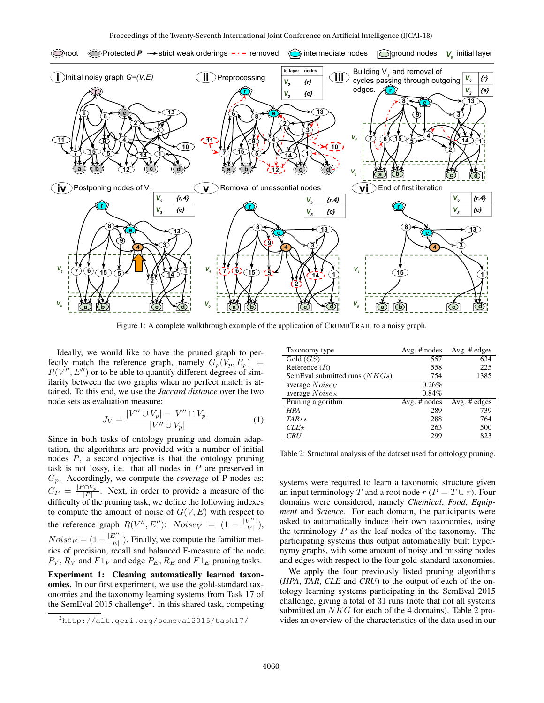

Figure 1: A complete walkthrough example of the application of CRUMBTRAIL to a noisy graph.

Ideally, we would like to have the pruned graph to perfectly match the reference graph, namely  $G_p(V_p, E_p)$  $R(V'', E'')$  or to be able to quantify different degrees of similarity between the two graphs when no perfect match is attained. To this end, we use the *Jaccard distance* over the two node sets as evaluation measure:

$$
J_V = \frac{|V'' \cup V_p| - |V'' \cap V_p|}{|V'' \cup V_p|} \tag{1}
$$

Since in both tasks of ontology pruning and domain adaptation, the algorithms are provided with a number of initial nodes P, a second objective is that the ontology pruning task is not lossy, i.e. that all nodes in  $P$  are preserved in Gp. Accordingly, we compute the *coverage* of P nodes as:  $C_P = \frac{|P \cap V_p|}{|P|}$ . Next, in order to provide a measure of the difficulty of the pruning task, we define the following indexes to compute the amount of noise of  $G(V, E)$  with respect to the reference graph  $R(V'', E'')$ :  $Noise_V = (1 - \frac{|V''|}{|V|})$  $\frac{V}{|V|}\Big),$  $Noise_E = (1 - \frac{|E''|}{|E|})$  $\frac{E}{|E|}$ ). Finally, we compute the familiar metrics of precision, recall and balanced F-measure of the node  $P_V$ ,  $R_V$  and  $F1_V$  and edge  $P_E$ ,  $R_E$  and  $F1_E$  pruning tasks.

Experiment 1: Cleaning automatically learned taxonomies. In our first experiment, we use the gold-standard taxonomies and the taxonomy learning systems from Task 17 of the SemEval 2015 challenge<sup>2</sup>. In this shared task, competing

| Taxonomy type                   | Avg. $#$ nodes | Avg. $#$ edges |
|---------------------------------|----------------|----------------|
| Gold(GS)                        | 557            | 634            |
| Reference $(R)$                 | 558            | 225            |
| SemEval submitted runs $(NKGs)$ | 754            | 1385           |
| average $NoiseV$                | 0.26%          |                |
| average $Noise_E$               | $0.84\%$       |                |
| Pruning algorithm               | Avg. $#$ nodes | Avg. # edges   |
| <b>HPA</b>                      | 289            | 739            |
| $TAR\star\star$                 | 288            | 764            |
| $CLE\star$                      | 263            | 500            |
| <b>CRU</b>                      | 299            | 823            |

Table 2: Structural analysis of the dataset used for ontology pruning.

systems were required to learn a taxonomic structure given an input terminology T and a root node  $r (P = T \cup r)$ . Four domains were considered, namely *Chemical*, *Food*, *Equipment* and *Science*. For each domain, the participants were asked to automatically induce their own taxonomies, using the terminology  $P$  as the leaf nodes of the taxonomy. The participating systems thus output automatically built hypernymy graphs, with some amount of noisy and missing nodes and edges with respect to the four gold-standard taxonomies.

We apply the four previously listed pruning algorithms (*HPA*, *TAR*, *CLE* and *CRU*) to the output of each of the ontology learning systems participating in the SemEval 2015 challenge, giving a total of 31 runs (note that not all systems submitted an *NKG* for each of the 4 domains). Table 2 provides an overview of the characteristics of the data used in our

<sup>2</sup>http://alt.qcri.org/semeval2015/task17/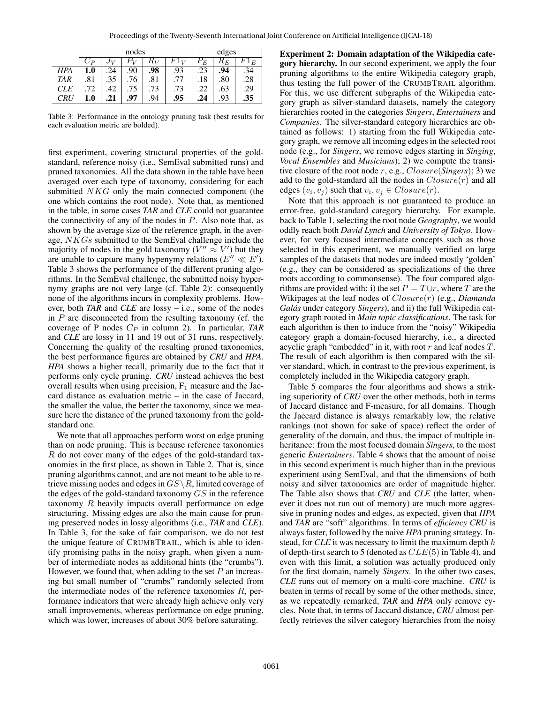|            | nodes      |       |     |       | edges  |                                            |       |        |
|------------|------------|-------|-----|-------|--------|--------------------------------------------|-------|--------|
|            | $\cup_{P}$ | $J_V$ |     | $R_V$ | $F1_V$ | $\bar{P}^{}_{\!\stackrel{\phantom{.}}{E}}$ | $R_E$ | $F1_E$ |
| HPA        | 1.0        | 24    | 90  | .98   | .93    | .23                                        | .94   | .34    |
| <b>TAR</b> | .81        | .35   | .76 | .81   | .77    | .18                                        | .80   | .28    |
| <b>CLE</b> | .72        | .42   | .75 | .73   | .73    | 22                                         | .63   | .29    |
| CRU        | 1.0        | .21   | .97 | .94   | .95    | .24                                        | .93   | .35    |

Table 3: Performance in the ontology pruning task (best results for each evaluation metric are bolded).

first experiment, covering structural properties of the goldstandard, reference noisy (i.e., SemEval submitted runs) and pruned taxonomies. All the data shown in the table have been averaged over each type of taxonomy, considering for each submitted NKG only the main connected component (the one which contains the root node). Note that, as mentioned in the table, in some cases *TAR* and *CLE* could not guarantee the connectivity of any of the nodes in  $P$ . Also note that, as shown by the average size of the reference graph, in the average, NKGs submitted to the SemEval challenge include the majority of nodes in the gold taxonomy ( $V'' \approx V'$ ) but they are unable to capture many hypenymy relations ( $E'' \ll E'$ ). Table 3 shows the performance of the different pruning algorithms. In the SemEval challenge, the submitted noisy hypernymy graphs are not very large (cf. Table 2): consequently none of the algorithms incurs in complexity problems. However, both *TAR* and *CLE* are lossy – i.e., some of the nodes in  $P$  are disconnected from the resulting taxonomy (cf. the coverage of P nodes  $C_P$  in column 2). In particular, *TAR* and *CLE* are lossy in 11 and 19 out of 31 runs, respectively. Concerning the quality of the resulting pruned taxonomies, the best performance figures are obtained by *CRU* and *HPA*. *HPA* shows a higher recall, primarily due to the fact that it performs only cycle pruning. *CRU* instead achieves the best overall results when using precision,  $F_1$  measure and the Jaccard distance as evaluation metric – in the case of Jaccard, the smaller the value, the better the taxonomy, since we measure here the distance of the pruned taxonomy from the goldstandard one.

We note that all approaches perform worst on edge pruning than on node pruning. This is because reference taxonomies R do not cover many of the edges of the gold-standard taxonomies in the first place, as shown in Table 2. That is, since pruning algorithms cannot, and are not meant to be able to retrieve missing nodes and edges in  $GS \setminus R$ , limited coverage of the edges of the gold-standard taxonomy GS in the reference taxonomy R heavily impacts overall performance on edge structuring. Missing edges are also the main cause for pruning preserved nodes in lossy algorithms (i.e., *TAR* and *CLE*). In Table 3, for the sake of fair comparison, we do not test the unique feature of CRUMBTRAIL, which is able to identify promising paths in the noisy graph, when given a number of intermediate nodes as additional hints (the "crumbs"). However, we found that, when adding to the set  $P$  an increasing but small number of "crumbs" randomly selected from the intermediate nodes of the reference taxonomies  $R$ , performance indicators that were already high achieve only very small improvements, whereas performance on edge pruning, which was lower, increases of about 30% before saturating.

Experiment 2: Domain adaptation of the Wikipedia category hierarchy. In our second experiment, we apply the four pruning algorithms to the entire Wikipedia category graph, thus testing the full power of the CRUMBTRAIL algorithm. For this, we use different subgraphs of the Wikipedia category graph as silver-standard datasets, namely the category hierarchies rooted in the categories *Singers*, *Entertainers* and *Companies*. The silver-standard category hierarchies are obtained as follows: 1) starting from the full Wikipedia category graph, we remove all incoming edges in the selected root node (e.g., for *Singers*, we remove edges starting in *Singing*, *Vocal Ensembles* and *Musicians*); 2) we compute the transitive closure of the root node r, e.g., Closure(*Singers*); 3) we add to the gold-standard all the nodes in  $Closure(r)$  and all edges  $(v_i, v_j)$  such that  $v_i, v_j \in Closure(r)$ .

Note that this approach is not guaranteed to produce an error-free, gold-standard category hierarchy. For example, back to Table 1, selecting the root node *Geography*, we would oddly reach both *David Lynch* and *University of Tokyo*. However, for very focused intermediate concepts such as those selected in this experiment, we manually verified on large samples of the datasets that nodes are indeed mostly 'golden' (e.g., they can be considered as specializations of the three roots according to commonsense). The four compared algorithms are provided with: i) the set  $P = T \cup r$ , where T are the Wikipages at the leaf nodes of Closure(r) (e.g., *Diamanda Galas´* under category *Singers*), and ii) the full Wikipedia category graph rooted in *Main topic classifications*. The task for each algorithm is then to induce from the "noisy" Wikipedia category graph a domain-focused hierarchy, i.e., a directed acyclic graph "embedded" in it, with root  $r$  and leaf nodes  $T$ . The result of each algorithm is then compared with the silver standard, which, in contrast to the previous experiment, is completely included in the Wikipedia category graph.

Table 5 compares the four algorithms and shows a striking superiority of *CRU* over the other methods, both in terms of Jaccard distance and F-measure, for all domains. Though the Jaccard distance is always remarkably low, the relative rankings (not shown for sake of space) reflect the order of generality of the domain, and thus, the impact of multiple inheritance: from the most focused domain *Singers*, to the most generic *Entertainers*. Table 4 shows that the amount of noise in this second experiment is much higher than in the previous experiment using SemEval, and that the dimensions of both noisy and silver taxonomies are order of magnitude higher. The Table also shows that *CRU* and *CLE* (the latter, whenever it does not run out of memory) are much more aggressive in pruning nodes and edges, as expected, given that *HPA* and *TAR* are "soft" algorithms. In terms of *efficiency CRU* is always faster, followed by the naive *HPA* pruning strategy. Instead, for *CLE* it was necessary to limit the maximum depth h of depth-first search to 5 (denoted as  $CLE(5)$  in Table 4), and even with this limit, a solution was actually produced only for the first domain, namely *Singers*. In the other two cases, *CLE* runs out of memory on a multi-core machine. *CRU* is beaten in terms of recall by some of the other methods, since, as we repeatedly remarked, *TAR* and *HPA* only remove cycles. Note that, in terms of Jaccard distance, *CRU* almost perfectly retrieves the silver category hierarchies from the noisy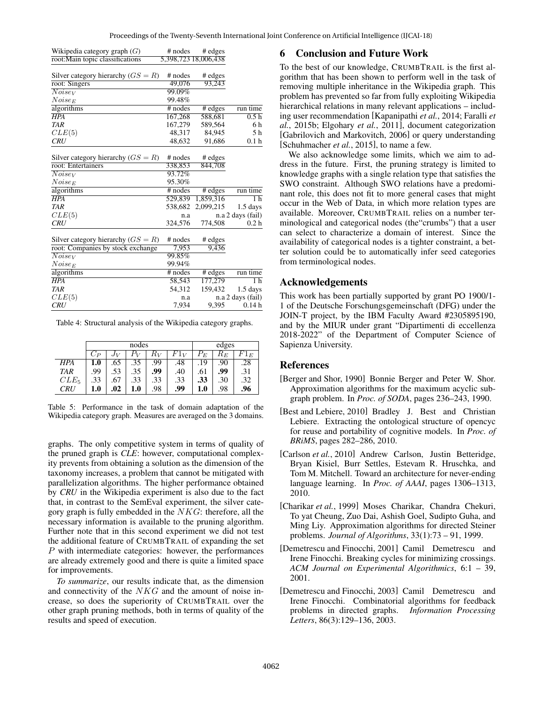| Wikipedia category graph $(G)$       | # nodes   | # edges<br>5,398,723 18,006,438 |                   |
|--------------------------------------|-----------|---------------------------------|-------------------|
| root: Main topic classifications     |           |                                 |                   |
| Silver category hierarchy $(GS = R)$ | $#$ nodes | # edges                         |                   |
| root: Singers                        | 49,076    | 93,243                          |                   |
| $\overline{Noise}_V$                 | 99.09%    |                                 |                   |
| $Noise_E$                            | 99.48%    |                                 |                   |
| algorithms                           | $#$ nodes | # edges                         | run time          |
| <b>HPA</b>                           | 167,268   | 588,681                         | 0.5h              |
| TAR                                  | 167,279   | 589,564                         | 6 h               |
| CLE(5)                               | 48,317    | 84,945                          | 5 h               |
| <b>CRU</b>                           | 48,632    | 91,686                          | 0.1 <sub>h</sub>  |
|                                      |           |                                 |                   |
| Silver category hierarchy $(GS = R)$ | $#$ nodes | # edges                         |                   |
| root: Entertainers                   | 338,853   | 844,708                         |                   |
| Noise <sub>V</sub>                   | 93.72%    |                                 |                   |
| $Noise_E$                            | 95.30%    |                                 |                   |
| algorithms                           | $#$ nodes | # edges                         | run time          |
| <b>HPA</b>                           | 529,839   | 1,859,316                       | 1 <sub>h</sub>    |
| <b>TAR</b>                           | 538,682   | 2,099,215                       | $1.5$ days        |
| CLE(5)                               | n.a       |                                 | n.a 2 days (fail) |
| <b>CRU</b>                           | 324,576   | 774,508                         | 0.2 <sub>h</sub>  |
|                                      |           |                                 |                   |
| Silver category hierarchy $(GS = R)$ | $#$ nodes | # edges                         |                   |
| root: Companies by stock exchange    | 7,953     | 9,436                           |                   |
| $\overline{Noise_V}$                 | 99.85%    |                                 |                   |
| $Noise_E$                            | 99.94%    |                                 |                   |
| algorithms                           | $#$ nodes | # edges                         | run time          |
| $\overline{HPA}$                     | 58,543    | 177,279                         | 1 h               |
| <b>TAR</b>                           | 54,312    | 159,432                         | $1.5$ days        |
| CLE(5)                               | n.a       |                                 | n.a 2 days (fail) |
| <b>CRU</b>                           | 7,934     | 9,395                           | 0.14h             |

Table 4: Structural analysis of the Wikipedia category graphs.

|            | nodes |     |     |       | edges |     |       |     |
|------------|-------|-----|-----|-------|-------|-----|-------|-----|
|            |       |     |     | $K_V$ | $1_V$ | E   | $R_E$ |     |
| HPA        | 1.0   | .65 | .35 | .99   | .48   | .19 | .90   | .28 |
| <b>TAR</b> | .99   | .53 | .35 | .99   | .40   | .61 | .99   | .31 |
| $CLE_5$    | .33   | .67 | .33 | .33   | .33   | .33 | .30   | .32 |
| CRU        | 1.0   | .02 | 1.0 | .98   | .99   | 1.0 | .98   | .96 |

Table 5: Performance in the task of domain adaptation of the Wikipedia category graph. Measures are averaged on the 3 domains.

graphs. The only competitive system in terms of quality of the pruned graph is *CLE*: however, computational complexity prevents from obtaining a solution as the dimension of the taxonomy increases, a problem that cannot be mitigated with parallelization algorithms. The higher performance obtained by *CRU* in the Wikipedia experiment is also due to the fact that, in contrast to the SemEval experiment, the silver category graph is fully embedded in the  $NKG$ : therefore, all the necessary information is available to the pruning algorithm. Further note that in this second experiment we did not test the additional feature of CRUMBTRAIL of expanding the set P with intermediate categories: however, the performances are already extremely good and there is quite a limited space for improvements.

*To summarize*, our results indicate that, as the dimension and connectivity of the NKG and the amount of noise increase, so does the superiority of CRUMBTRAIL over the other graph pruning methods, both in terms of quality of the results and speed of execution.

### 6 Conclusion and Future Work

To the best of our knowledge, CRUMBTRAIL is the first algorithm that has been shown to perform well in the task of removing multiple inheritance in the Wikipedia graph. This problem has prevented so far from fully exploiting Wikipedia hierarchical relations in many relevant applications – including user recommendation [Kapanipathi *et al.*, 2014; Faralli *et al.*, 2015b; Elgohary *et al.*, 2011], document categorization [Gabrilovich and Markovitch, 2006] or query understanding [Schuhmacher *et al.*, 2015], to name a few.

We also acknowledge some limits, which we aim to address in the future. First, the pruning strategy is limited to knowledge graphs with a single relation type that satisfies the SWO constraint. Although SWO relations have a predominant role, this does not fit to more general cases that might occur in the Web of Data, in which more relation types are available. Moreover, CRUMBTRAIL relies on a number terminological and categorical nodes (the"crumbs") that a user can select to characterize a domain of interest. Since the availability of categorical nodes is a tighter constraint, a better solution could be to automatically infer seed categories from terminological nodes.

#### Acknowledgements

This work has been partially supported by grant PO 1900/1- 1 of the Deutsche Forschungsgemeinschaft (DFG) under the JOIN-T project, by the IBM Faculty Award #2305895190, and by the MIUR under grant "Dipartimenti di eccellenza 2018-2022" of the Department of Computer Science of Sapienza University.

#### References

- [Berger and Shor, 1990] Bonnie Berger and Peter W. Shor. Approximation algorithms for the maximum acyclic subgraph problem. In *Proc. of SODA*, pages 236–243, 1990.
- [Best and Lebiere, 2010] Bradley J. Best and Christian Lebiere. Extracting the ontological structure of opencyc for reuse and portability of cognitive models. In *Proc. of BRiMS*, pages 282–286, 2010.
- [Carlson *et al.*, 2010] Andrew Carlson, Justin Betteridge, Bryan Kisiel, Burr Settles, Estevam R. Hruschka, and Tom M. Mitchell. Toward an architecture for never-ending language learning. In *Proc. of AAAI*, pages 1306–1313, 2010.
- [Charikar *et al.*, 1999] Moses Charikar, Chandra Chekuri, To yat Cheung, Zuo Dai, Ashish Goel, Sudipto Guha, and Ming Liy. Approximation algorithms for directed Steiner problems. *Journal of Algorithms*, 33(1):73 – 91, 1999.
- [Demetrescu and Finocchi, 2001] Camil Demetrescu and Irene Finocchi. Breaking cycles for minimizing crossings. *ACM Journal on Experimental Algorithmics*, 6:1 – 39, 2001.
- [Demetrescu and Finocchi, 2003] Camil Demetrescu and Irene Finocchi. Combinatorial algorithms for feedback problems in directed graphs. *Information Processing Letters*, 86(3):129–136, 2003.